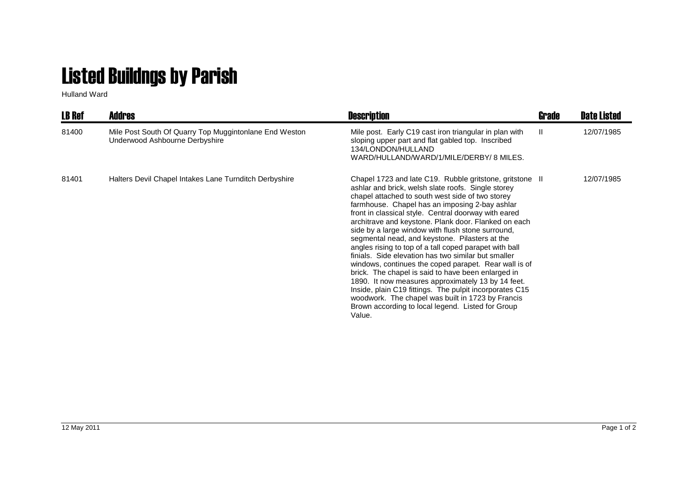## Listed Buildngs by Parish

Hulland Ward

| <b>LB Ref</b> | <b>Addres</b>                                                                            | <b>Description</b>                                                                                                                                                                                                                                                                                                                                                                                                                                                                                                                                                                                                                                                                                                                                                                                                                                                                                               | Grade | <b>Date Listed</b> |
|---------------|------------------------------------------------------------------------------------------|------------------------------------------------------------------------------------------------------------------------------------------------------------------------------------------------------------------------------------------------------------------------------------------------------------------------------------------------------------------------------------------------------------------------------------------------------------------------------------------------------------------------------------------------------------------------------------------------------------------------------------------------------------------------------------------------------------------------------------------------------------------------------------------------------------------------------------------------------------------------------------------------------------------|-------|--------------------|
| 81400         | Mile Post South Of Quarry Top Muggintonlane End Weston<br>Underwood Ashbourne Derbyshire | Mile post. Early C19 cast iron triangular in plan with<br>sloping upper part and flat gabled top. Inscribed<br>134/LONDON/HULLAND<br>WARD/HULLAND/WARD/1/MILE/DERBY/8 MILES.                                                                                                                                                                                                                                                                                                                                                                                                                                                                                                                                                                                                                                                                                                                                     | Ш.    | 12/07/1985         |
| 81401         | Halters Devil Chapel Intakes Lane Turnditch Derbyshire                                   | Chapel 1723 and late C19. Rubble gritstone, gritstone II<br>ashlar and brick, welsh slate roofs. Single storey<br>chapel attached to south west side of two storey<br>farmhouse. Chapel has an imposing 2-bay ashlar<br>front in classical style. Central doorway with eared<br>architrave and keystone. Plank door. Flanked on each<br>side by a large window with flush stone surround,<br>segmental nead, and keystone. Pilasters at the<br>angles rising to top of a tall coped parapet with ball<br>finials. Side elevation has two similar but smaller<br>windows, continues the coped parapet. Rear wall is of<br>brick. The chapel is said to have been enlarged in<br>1890. It now measures approximately 13 by 14 feet.<br>Inside, plain C19 fittings. The pulpit incorporates C15<br>woodwork. The chapel was built in 1723 by Francis<br>Brown according to local legend. Listed for Group<br>Value. |       | 12/07/1985         |